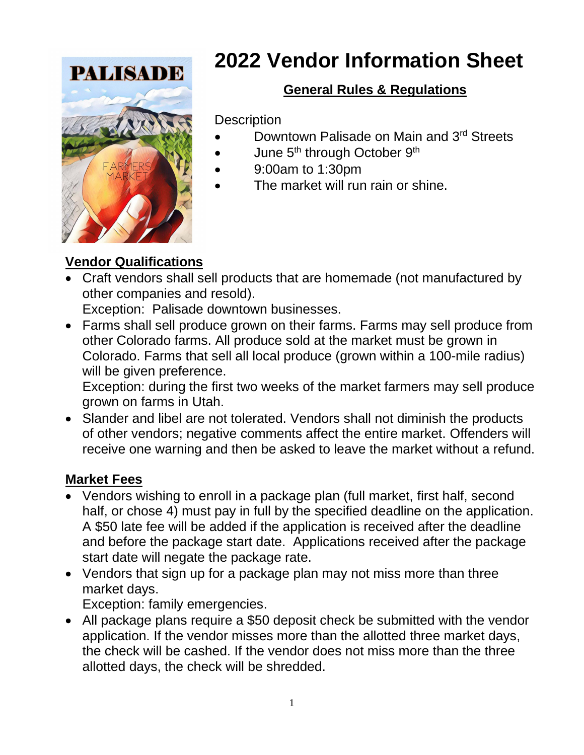

# **2022 Vendor Information Sheet**

# **General Rules & Regulations**

**Description** 

- Downtown Palisade on Main and 3rd Streets
- June 5<sup>th</sup> through October 9<sup>th</sup>
- 9:00am to 1:30pm
- The market will run rain or shine.

## **Vendor Qualifications**

• Craft vendors shall sell products that are homemade (not manufactured by other companies and resold).

Exception: Palisade downtown businesses.

• Farms shall sell produce grown on their farms. Farms may sell produce from other Colorado farms. All produce sold at the market must be grown in Colorado. Farms that sell all local produce (grown within a 100-mile radius) will be given preference.

Exception: during the first two weeks of the market farmers may sell produce grown on farms in Utah.

• Slander and libel are not tolerated. Vendors shall not diminish the products of other vendors; negative comments affect the entire market. Offenders will receive one warning and then be asked to leave the market without a refund.

## **Market Fees**

- Vendors wishing to enroll in a package plan (full market, first half, second half, or chose 4) must pay in full by the specified deadline on the application. A \$50 late fee will be added if the application is received after the deadline and before the package start date. Applications received after the package start date will negate the package rate.
- Vendors that sign up for a package plan may not miss more than three market days.

Exception: family emergencies.

• All package plans require a \$50 deposit check be submitted with the vendor application. If the vendor misses more than the allotted three market days, the check will be cashed. If the vendor does not miss more than the three allotted days, the check will be shredded.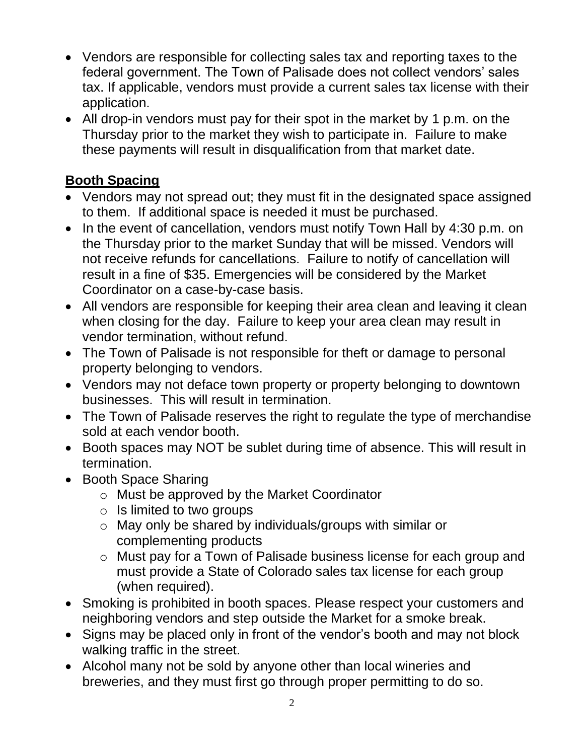- Vendors are responsible for collecting sales tax and reporting taxes to the federal government. The Town of Palisade does not collect vendors' sales tax. If applicable, vendors must provide a current sales tax license with their application.
- All drop-in vendors must pay for their spot in the market by 1 p.m. on the Thursday prior to the market they wish to participate in. Failure to make these payments will result in disqualification from that market date.

#### **Booth Spacing**

- Vendors may not spread out; they must fit in the designated space assigned to them. If additional space is needed it must be purchased.
- In the event of cancellation, vendors must notify Town Hall by 4:30 p.m. on the Thursday prior to the market Sunday that will be missed. Vendors will not receive refunds for cancellations. Failure to notify of cancellation will result in a fine of \$35. Emergencies will be considered by the Market Coordinator on a case-by-case basis.
- All vendors are responsible for keeping their area clean and leaving it clean when closing for the day. Failure to keep your area clean may result in vendor termination, without refund.
- The Town of Palisade is not responsible for theft or damage to personal property belonging to vendors.
- Vendors may not deface town property or property belonging to downtown businesses. This will result in termination.
- The Town of Palisade reserves the right to regulate the type of merchandise sold at each vendor booth.
- Booth spaces may NOT be sublet during time of absence. This will result in termination.
- Booth Space Sharing
	- o Must be approved by the Market Coordinator
	- o Is limited to two groups
	- o May only be shared by individuals/groups with similar or complementing products
	- o Must pay for a Town of Palisade business license for each group and must provide a State of Colorado sales tax license for each group (when required).
- Smoking is prohibited in booth spaces. Please respect your customers and neighboring vendors and step outside the Market for a smoke break.
- Signs may be placed only in front of the vendor's booth and may not block walking traffic in the street.
- Alcohol many not be sold by anyone other than local wineries and breweries, and they must first go through proper permitting to do so.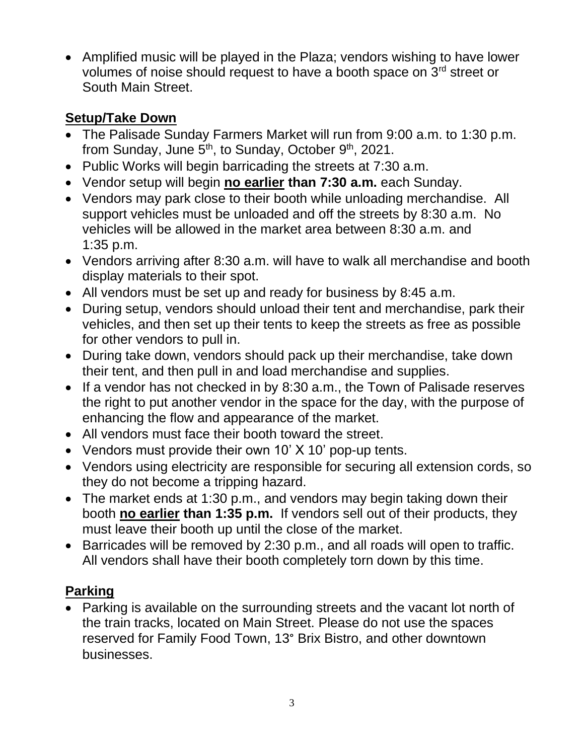• Amplified music will be played in the Plaza; vendors wishing to have lower volumes of noise should request to have a booth space on  $3^{rd}$  street or South Main Street.

#### **Setup/Take Down**

- The Palisade Sunday Farmers Market will run from 9:00 a.m. to 1:30 p.m. from Sunday, June 5<sup>th</sup>, to Sunday, October 9<sup>th</sup>, 2021.
- Public Works will begin barricading the streets at 7:30 a.m.
- Vendor setup will begin **no earlier than 7:30 a.m.** each Sunday.
- Vendors may park close to their booth while unloading merchandise. All support vehicles must be unloaded and off the streets by 8:30 a.m. No vehicles will be allowed in the market area between 8:30 a.m. and 1:35 p.m.
- Vendors arriving after 8:30 a.m. will have to walk all merchandise and booth display materials to their spot.
- All vendors must be set up and ready for business by 8:45 a.m.
- During setup, vendors should unload their tent and merchandise, park their vehicles, and then set up their tents to keep the streets as free as possible for other vendors to pull in.
- During take down, vendors should pack up their merchandise, take down their tent, and then pull in and load merchandise and supplies.
- If a vendor has not checked in by 8:30 a.m., the Town of Palisade reserves the right to put another vendor in the space for the day, with the purpose of enhancing the flow and appearance of the market.
- All vendors must face their booth toward the street.
- Vendors must provide their own 10' X 10' pop-up tents.
- Vendors using electricity are responsible for securing all extension cords, so they do not become a tripping hazard.
- The market ends at 1:30 p.m., and vendors may begin taking down their booth **no earlier than 1:35 p.m.** If vendors sell out of their products, they must leave their booth up until the close of the market.
- Barricades will be removed by 2:30 p.m., and all roads will open to traffic. All vendors shall have their booth completely torn down by this time.

## **Parking**

• Parking is available on the surrounding streets and the vacant lot north of the train tracks, located on Main Street. Please do not use the spaces reserved for Family Food Town, 13° Brix Bistro, and other downtown businesses.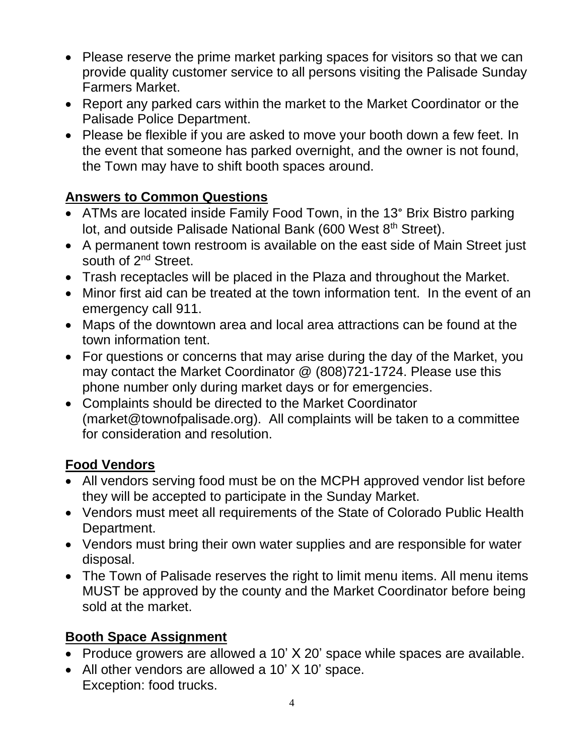- Please reserve the prime market parking spaces for visitors so that we can provide quality customer service to all persons visiting the Palisade Sunday Farmers Market.
- Report any parked cars within the market to the Market Coordinator or the Palisade Police Department.
- Please be flexible if you are asked to move your booth down a few feet. In the event that someone has parked overnight, and the owner is not found, the Town may have to shift booth spaces around.

## **Answers to Common Questions**

- ATMs are located inside Family Food Town, in the 13° Brix Bistro parking lot, and outside Palisade National Bank (600 West 8<sup>th</sup> Street).
- A permanent town restroom is available on the east side of Main Street just south of 2<sup>nd</sup> Street.
- Trash receptacles will be placed in the Plaza and throughout the Market.
- Minor first aid can be treated at the town information tent. In the event of an emergency call 911.
- Maps of the downtown area and local area attractions can be found at the town information tent.
- For questions or concerns that may arise during the day of the Market, you may contact the Market Coordinator @ (808)721-1724. Please use this phone number only during market days or for emergencies.
- Complaints should be directed to the Market Coordinator (market@townofpalisade.org). All complaints will be taken to a committee for consideration and resolution.

## **Food Vendors**

- All vendors serving food must be on the MCPH approved vendor list before they will be accepted to participate in the Sunday Market.
- Vendors must meet all requirements of the State of Colorado Public Health Department.
- Vendors must bring their own water supplies and are responsible for water disposal.
- The Town of Palisade reserves the right to limit menu items. All menu items MUST be approved by the county and the Market Coordinator before being sold at the market.

## **Booth Space Assignment**

- Produce growers are allowed a 10' X 20' space while spaces are available.
- All other vendors are allowed a 10' X 10' space. Exception: food trucks.